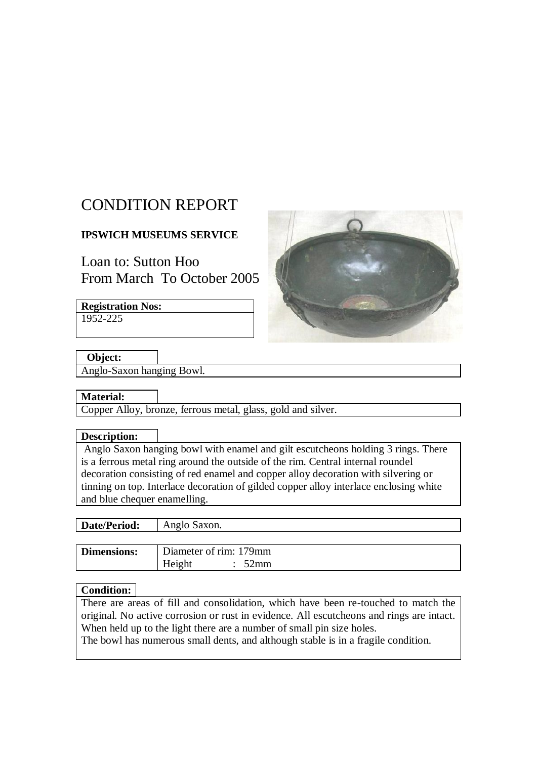# CONDITION REPORT

## **IPSWICH MUSEUMS SERVICE**

## Loan to: Sutton Hoo From March To October 2005

### **Registration Nos:**

1952-225

## **Object:**

Anglo-Saxon hanging Bowl.

#### **Material:**

Copper Alloy, bronze, ferrous metal, glass, gold and silver.

#### **Description:**

Anglo Saxon hanging bowl with enamel and gilt escutcheons holding 3 rings. There is a ferrous metal ring around the outside of the rim. Central internal roundel decoration consisting of red enamel and copper alloy decoration with silvering or tinning on top. Interlace decoration of gilded copper alloy interlace enclosing white and blue chequer enamelling.

| <b>Date/Period:</b> | Anglo Saxon.             |
|---------------------|--------------------------|
|                     |                          |
| <b>Dimensions:</b>  | Diameter of rim: 179mm   |
|                     | Height<br>$52 \text{mm}$ |

#### **Condition:**

There are areas of fill and consolidation, which have been re-touched to match the original. No active corrosion or rust in evidence. All escutcheons and rings are intact. When held up to the light there are a number of small pin size holes. The bowl has numerous small dents, and although stable is in a fragile condition.

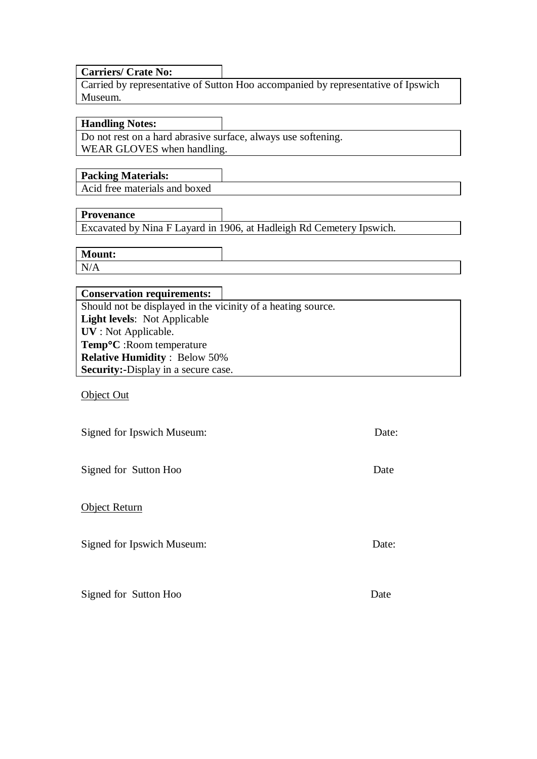#### **Carriers/ Crate No:**

Carried by representative of Sutton Hoo accompanied by representative of Ipswich Museum.

## **Handling Notes:**

Do not rest on a hard abrasive surface, always use softening. WEAR GLOVES when handling.

#### **Packing Materials:**

Acid free materials and boxed

#### **Provenance**

Excavated by Nina F Layard in 1906, at Hadleigh Rd Cemetery Ipswich.

#### **Mount:**

N/A

#### **Conservation requirements:**

Should not be displayed in the vicinity of a heating source. **Light levels**: Not Applicable **UV** : Not Applicable. **TempC** :Room temperature **Relative Humidity** : Below 50% **Security:-**Display in a secure case.

#### Object Out

| Signed for Ipswich Museum: | Date: |
|----------------------------|-------|
| Signed for Sutton Hoo      | Date  |
| <b>Object Return</b>       |       |
| Signed for Ipswich Museum: | Date: |
| Signed for Sutton Hoo      | Date  |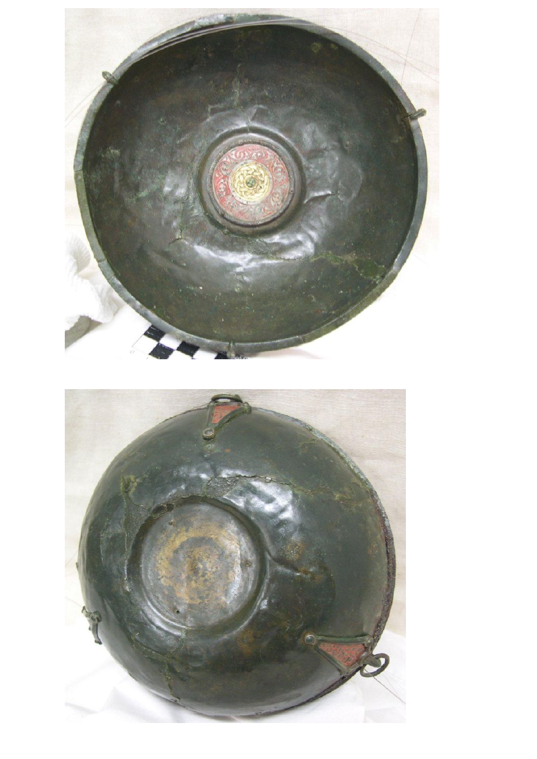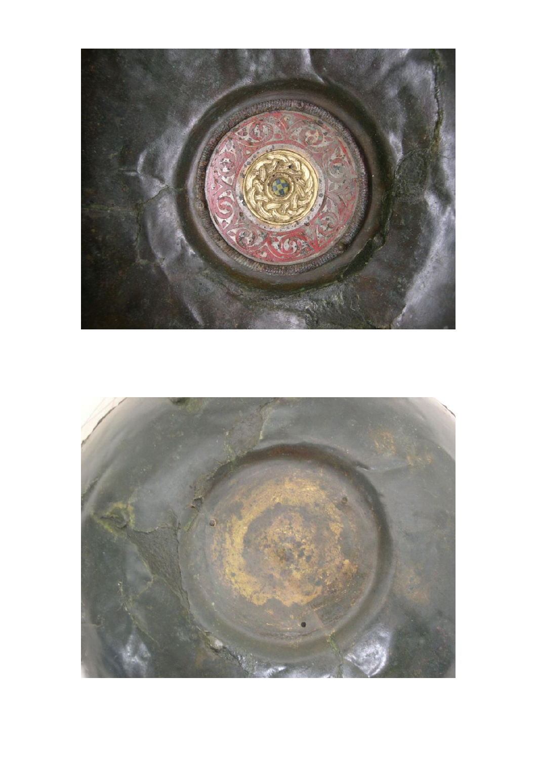